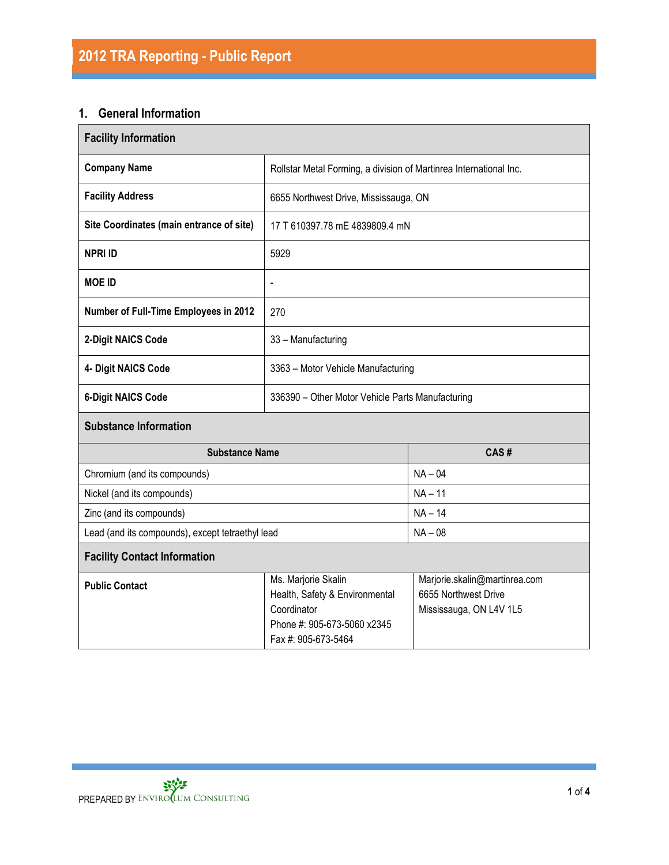## **1. General Information**

| <b>Facility Information</b>                      |                                                                                                                                                                                                                |           |  |  |  |  |
|--------------------------------------------------|----------------------------------------------------------------------------------------------------------------------------------------------------------------------------------------------------------------|-----------|--|--|--|--|
| <b>Company Name</b>                              | Rollstar Metal Forming, a division of Martinrea International Inc.                                                                                                                                             |           |  |  |  |  |
| <b>Facility Address</b>                          | 6655 Northwest Drive, Mississauga, ON                                                                                                                                                                          |           |  |  |  |  |
| Site Coordinates (main entrance of site)         | 17 T 610397.78 mE 4839809.4 mN                                                                                                                                                                                 |           |  |  |  |  |
| <b>NPRI ID</b>                                   | 5929                                                                                                                                                                                                           |           |  |  |  |  |
| <b>MOE ID</b>                                    | $\overline{\phantom{0}}$                                                                                                                                                                                       |           |  |  |  |  |
| Number of Full-Time Employees in 2012            | 270                                                                                                                                                                                                            |           |  |  |  |  |
| 2-Digit NAICS Code                               | 33 - Manufacturing                                                                                                                                                                                             |           |  |  |  |  |
| 4- Digit NAICS Code                              | 3363 - Motor Vehicle Manufacturing                                                                                                                                                                             |           |  |  |  |  |
| <b>6-Digit NAICS Code</b>                        | 336390 - Other Motor Vehicle Parts Manufacturing                                                                                                                                                               |           |  |  |  |  |
| <b>Substance Information</b>                     |                                                                                                                                                                                                                |           |  |  |  |  |
| <b>Substance Name</b>                            | CAS#                                                                                                                                                                                                           |           |  |  |  |  |
| Chromium (and its compounds)                     |                                                                                                                                                                                                                | $NA - 04$ |  |  |  |  |
| Nickel (and its compounds)                       |                                                                                                                                                                                                                | $NA - 11$ |  |  |  |  |
| Zinc (and its compounds)                         |                                                                                                                                                                                                                | $NA - 14$ |  |  |  |  |
| Lead (and its compounds), except tetraethyl lead | $NA - 08$                                                                                                                                                                                                      |           |  |  |  |  |
| <b>Facility Contact Information</b>              |                                                                                                                                                                                                                |           |  |  |  |  |
| <b>Public Contact</b>                            | Ms. Marjorie Skalin<br>Marjorie.skalin@martinrea.com<br>Health, Safety & Environmental<br>6655 Northwest Drive<br>Coordinator<br>Mississauga, ON L4V 1L5<br>Phone #: 905-673-5060 x2345<br>Fax #: 905-673-5464 |           |  |  |  |  |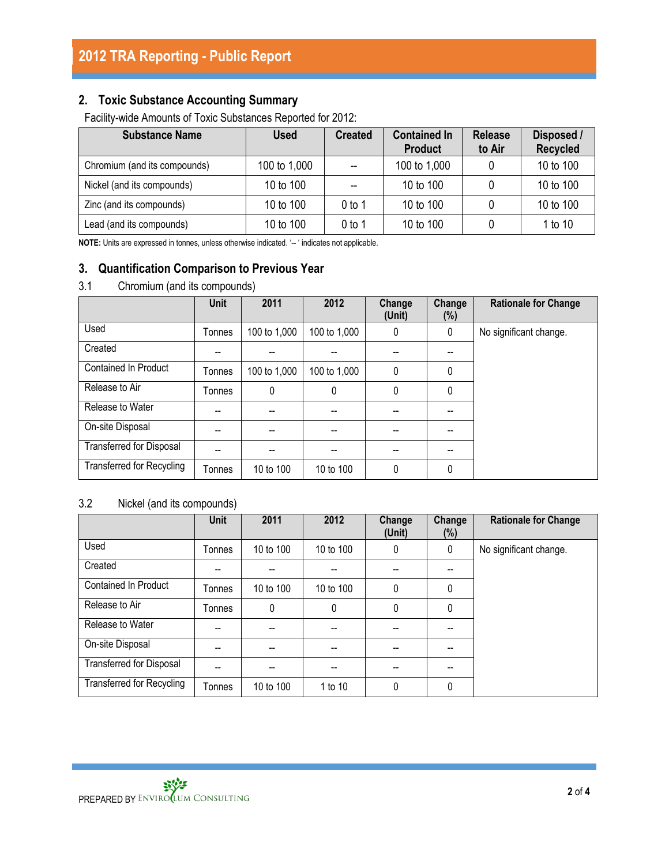# **2. Toxic Substance Accounting Summary**

Facility-wide Amounts of Toxic Substances Reported for 2012:

| <b>Substance Name</b>        | Used         | <b>Created</b> | <b>Contained In</b><br><b>Product</b> | <b>Release</b><br>to Air | Disposed /<br><b>Recycled</b> |
|------------------------------|--------------|----------------|---------------------------------------|--------------------------|-------------------------------|
| Chromium (and its compounds) | 100 to 1,000 |                | 100 to 1,000                          |                          | 10 to 100                     |
| Nickel (and its compounds)   | 10 to 100    |                | 10 to 100                             |                          | 10 to 100                     |
| Zinc (and its compounds)     | 10 to 100    | 0 to 1         | 10 to 100                             |                          | 10 to 100                     |
| Lead (and its compounds)     | 10 to 100    | 0 to 1         | 10 to 100                             |                          | 1 to 10                       |

**NOTE:** Units are expressed in tonnes, unless otherwise indicated. '-- ' indicates not applicable.

# **3. Quantification Comparison to Previous Year**

### 3.1 Chromium (and its compounds)

|                                  | <b>Unit</b> | 2011         | 2012         | Change<br>(Unit) | Change<br>$(\%)$ | <b>Rationale for Change</b> |
|----------------------------------|-------------|--------------|--------------|------------------|------------------|-----------------------------|
| Used                             | Tonnes      | 100 to 1,000 | 100 to 1,000 | 0                | 0                | No significant change.      |
| Created                          |             |              |              |                  |                  |                             |
| <b>Contained In Product</b>      | Tonnes      | 100 to 1,000 | 100 to 1,000 | 0                | 0                |                             |
| Release to Air                   | Tonnes      | 0            | 0            | 0                | 0                |                             |
| Release to Water                 | --          |              |              |                  | --               |                             |
| On-site Disposal                 |             | --           |              |                  | --               |                             |
| <b>Transferred for Disposal</b>  | --          |              | --           | --               | --               |                             |
| <b>Transferred for Recycling</b> | Tonnes      | 10 to 100    | 10 to 100    | 0                | 0                |                             |

## 3.2 Nickel (and its compounds)

|                                  | <b>Unit</b> | 2011         | 2012        | Change<br>(Unit) | Change<br>(%) | <b>Rationale for Change</b> |
|----------------------------------|-------------|--------------|-------------|------------------|---------------|-----------------------------|
| Used                             | Tonnes      | 10 to 100    | 10 to 100   | 0                | 0             | No significant change.      |
| Created                          |             |              |             |                  |               |                             |
| <b>Contained In Product</b>      | Tonnes      | 10 to 100    | 10 to 100   | $\mathbf{0}$     | 0             |                             |
| Release to Air                   | Tonnes      | $\mathbf{0}$ | $\mathbf 0$ | 0                | 0             |                             |
| Release to Water                 | --          |              |             |                  |               |                             |
| On-site Disposal                 | --          |              |             |                  |               |                             |
| <b>Transferred for Disposal</b>  | --          | --           | --          | --               | --            |                             |
| <b>Transferred for Recycling</b> | Tonnes      | 10 to 100    | 1 to 10     | $\mathbf{0}$     | 0             |                             |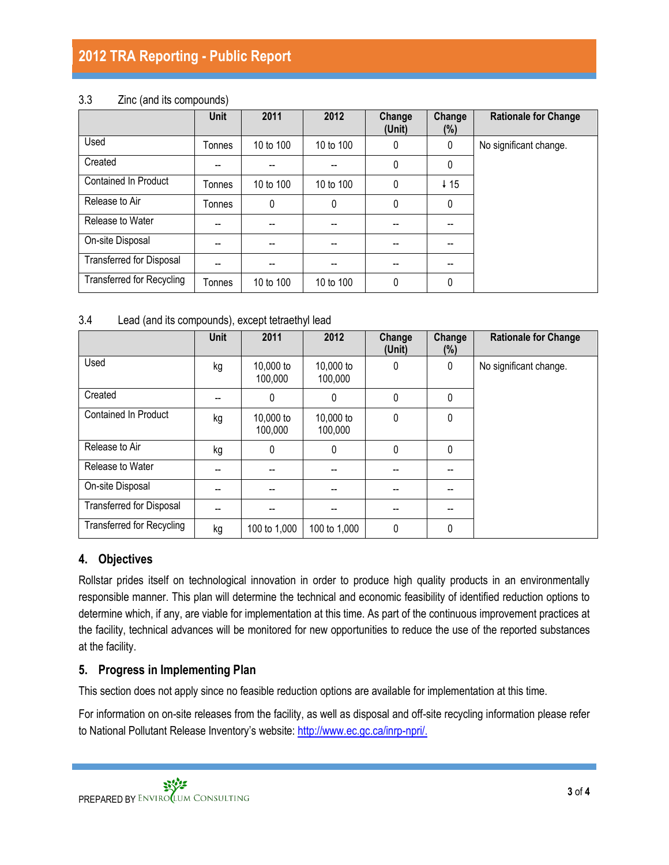# **2012 TRA Reporting - Public Report**

#### 3.3 Zinc (and its compounds)

|                                  | <b>Unit</b> | 2011      | 2012      | Change<br>(Unit) | Change<br>(%)   | <b>Rationale for Change</b> |
|----------------------------------|-------------|-----------|-----------|------------------|-----------------|-----------------------------|
| Used                             | Tonnes      | 10 to 100 | 10 to 100 | 0                | 0               | No significant change.      |
| Created                          |             |           |           | $\mathbf{0}$     | 0               |                             |
| <b>Contained In Product</b>      | Tonnes      | 10 to 100 | 10 to 100 | $\mathbf{0}$     | $\downarrow$ 15 |                             |
| Release to Air                   | Tonnes      | 0         | 0         | 0                | 0               |                             |
| Release to Water                 | --          | --        | --        | --               | --              |                             |
| On-site Disposal                 | --          | --        | --        | --               | --              |                             |
| <b>Transferred for Disposal</b>  | --          | --        | --        | --               | --              |                             |
| <b>Transferred for Recycling</b> | Tonnes      | 10 to 100 | 10 to 100 | $\mathbf{0}$     | 0               |                             |

#### 3.4 Lead (and its compounds), except tetraethyl lead

|                                  | <b>Unit</b> | 2011                 | 2012                 | Change<br>(Unit) | Change<br>(%) | <b>Rationale for Change</b> |
|----------------------------------|-------------|----------------------|----------------------|------------------|---------------|-----------------------------|
| Used                             | kg          | 10,000 to<br>100,000 | 10,000 to<br>100,000 | $\mathbf{0}$     | 0             | No significant change.      |
| Created                          |             | 0                    | 0                    | $\mathbf{0}$     | 0             |                             |
| <b>Contained In Product</b>      | kg          | 10,000 to<br>100,000 | 10,000 to<br>100,000 | $\mathbf{0}$     | 0             |                             |
| Release to Air                   | kg          | $\mathbf{0}$         | 0                    | $\mathbf{0}$     | $\mathbf{0}$  |                             |
| Release to Water                 |             |                      |                      |                  |               |                             |
| On-site Disposal                 | --          | --                   |                      |                  | --            |                             |
| Transferred for Disposal         | --          |                      |                      |                  | --            |                             |
| <b>Transferred for Recycling</b> | kg          | 100 to 1,000         | 100 to 1,000         | 0                | 0             |                             |

### **4. Objectives**

Rollstar prides itself on technological innovation in order to produce high quality products in an environmentally responsible manner. This plan will determine the technical and economic feasibility of identified reduction options to determine which, if any, are viable for implementation at this time. As part of the continuous improvement practices at the facility, technical advances will be monitored for new opportunities to reduce the use of the reported substances at the facility.

### **5. Progress in Implementing Plan**

This section does not apply since no feasible reduction options are available for implementation at this time.

For information on on-site releases from the facility, as well as disposal and off-site recycling information please refer to National Pollutant Release Inventory's website: [http://www.ec.gc.ca/inrp-npri/.](http://www.ec.gc.ca/inrp-npri/)